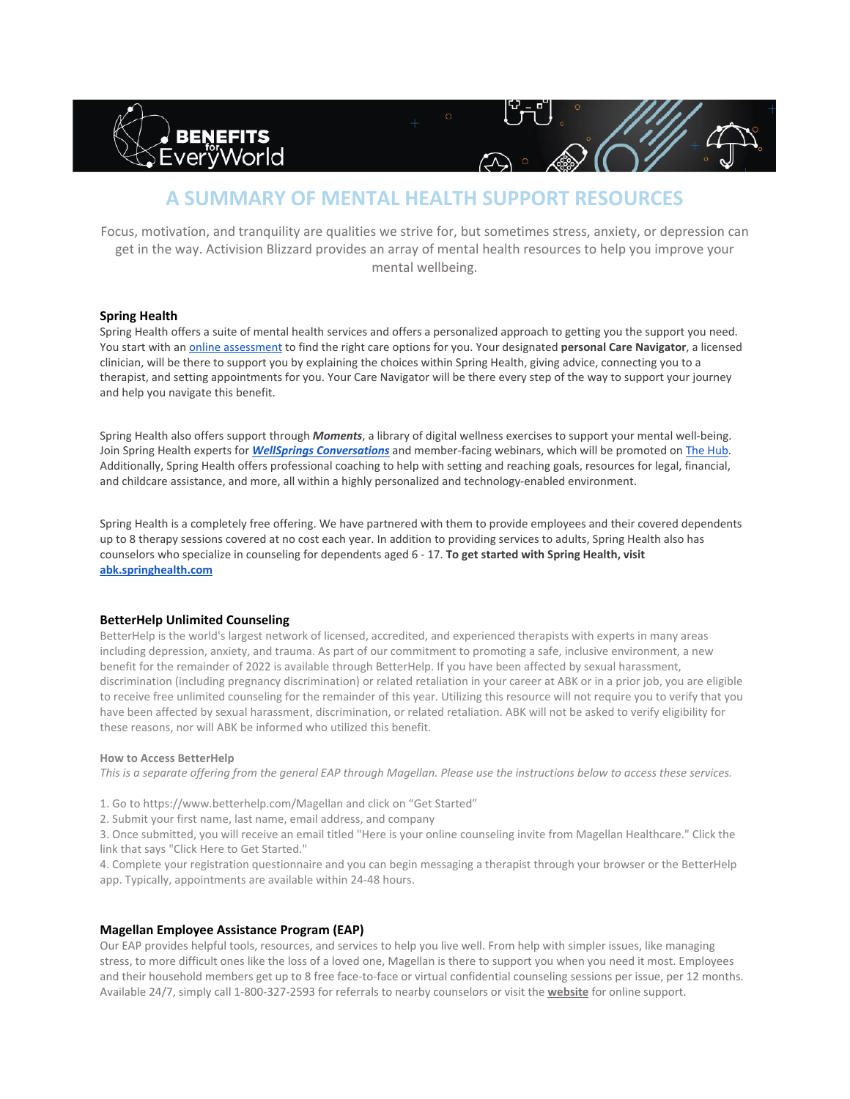

# **A SUMMARY OF MENTAL HEALTH SUPPORT RESOURCES**

Focus, motivation, and tranquility are qualities we strive for, but sometimes stress, anxiety, or depression can get in the way. Activision Blizzard provides an array of mental health resources to help you improve your mental wellbeing.

## **Spring Health**

Spring Health offers a suite of mental health services and offers a personalized approach to getting you the support you need. You start with an [online assessment](https://benefits.springhealth.com/abk/) to find the right care options for you. Your designated **personal Care Navigator**, a licensed clinician, will be there to support you by explaining the choices within Spring Health, giving advice, connecting you to a therapist, and setting appointments for you. Your Care Navigator will be there every step of the way to support your journey and help you navigate this benefit.

Spring Health also offers support through *Moments*, a library of digital wellness exercises to support your mental well-being. Join Spring Health experts for *[WellSprings Conversations](https://wellsprings.springhealth.com/)* and member-facing webinars, which will be promoted on [The Hub.](https://community.activisionblizzard.com/Interact/Pages/Section/Default.aspx?Section=4673) Additionally, Spring Health offers professional coaching to help with setting and reaching goals, resources for legal, financial, and childcare assistance, and more, all within a highly personalized and technology-enabled environment.

Spring Health is a completely free offering. We have partnered with them to provide employees and their covered dependents up to 8 therapy sessions covered at no cost each year. In addition to providing services to adults, Spring Health also has counselors who specialize in counseling for dependents aged 6 - 17. **To get started with Spring Health, visit [abk.springhealth.com](http://abk.springhealth.com/)**

## **BetterHelp Unlimited Counseling**

BetterHelp is the world's largest network of licensed, accredited, and experienced therapists with experts in many areas including depression, anxiety, and trauma. As part of our commitment to promoting a safe, inclusive environment, a new benefit for the remainder of 2022 is available through BetterHelp. If you have been affected by sexual harassment, discrimination (including pregnancy discrimination) or related retaliation in your career at ABK or in a prior job, you are eligible to receive free unlimited counseling for the remainder of this year. Utilizing this resource will not require you to verify that you have been affected by sexual harassment, discrimination, or related retaliation. ABK will not be asked to verify eligibility for these reasons, nor will ABK be informed who utilized this benefit.

### **How to Access BetterHelp**

*This is a separate offering from the general EAP through Magellan. Please use the instructions below to access these services.*

- 1. Go to https://www.betterhelp.com/Magellan and click on "Get Started"
- 2. Submit your first name, last name, email address, and company

3. Once submitted, you will receive an email titled "Here is your online counseling invite from Magellan Healthcare." Click the link that says "Click Here to Get Started."

4. Complete your registration questionnaire and you can begin messaging a therapist through your browser or the BetterHelp app. Typically, appointments are available within 24-48 hours.

### **Magellan Employee Assistance Program (EAP)**

Our EAP provides helpful tools, resources, and services to help you live well. From help with simpler issues, like managing stress, to more difficult ones like the loss of a loved one, Magellan is there to support you when you need it most. Employees and their household members get up to 8 free face-to-face or virtual confidential counseling sessions per issue, per 12 months. Available 24/7, simply call 1-800-327-2593 for referrals to nearby counselors or visit the **[website](https://magellanascend.com/?ccid=hpZiwITni%2FVKNrZqvUQNBxsD4uvh2BRqukgxzLN27hE%3D)** for online support.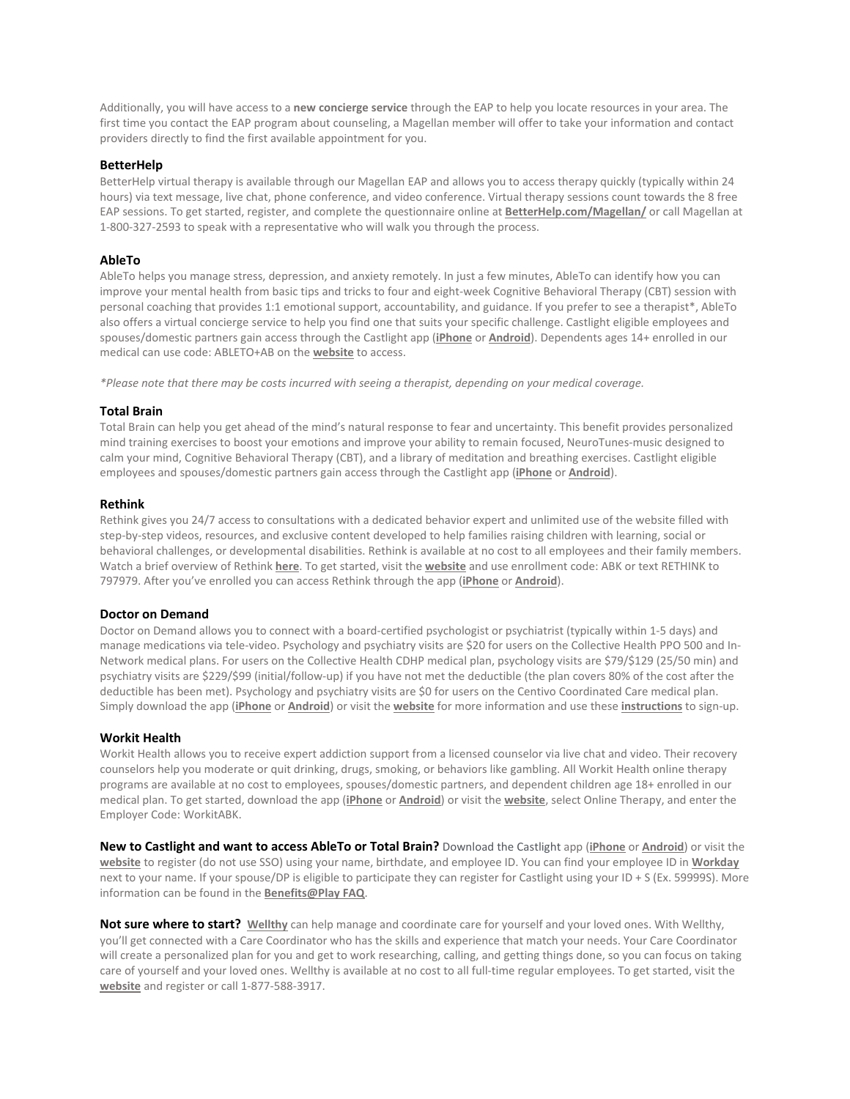Additionally, you will have access to a **new concierge service** through the EAP to help you locate resources in your area. The first time you contact the EAP program about counseling, a Magellan member will offer to take your information and contact providers directly to find the first available appointment for you.

## **BetterHelp**

BetterHelp virtual therapy is available through our Magellan EAP and allows you to access therapy quickly (typically within 24 hours) via text message, live chat, phone conference, and video conference. Virtual therapy sessions count towards the 8 free EAP sessions. To get started, register, and complete the questionnaire online at **[BetterHelp.com/Magellan/](https://www.betterhelp.com/magellan/)** or call Magellan at 1-800-327-2593 to speak with a representative who will walk you through the process.

## **AbleTo**

AbleTo helps you manage stress, depression, and anxiety remotely. In just a few minutes, AbleTo can identify how you can improve your mental health from basic tips and tricks to four and eight-week Cognitive Behavioral Therapy (CBT) session with personal coaching that provides 1:1 emotional support, accountability, and guidance. If you prefer to see a therapist\*, AbleTo also offers a virtual concierge service to help you find one that suits your specific challenge. Castlight eligible employees and spouses/domestic partners gain access through the Castlight app (**[iPhone](https://apps.apple.com/us/app/castlight-mobile/id503468685)** or **[Android](https://play.google.com/store/apps/details?id=com.castlight.clh.view&hl=en_US)**). Dependents ages 14+ enrolled in our medical can use code: ABLETO+AB on the **[website](https://app.ableto.com/ab)** to access.

*\*Please note that there may be costs incurred with seeing a therapist, depending on your medical coverage.*

### **Total Brain**

Total Brain can help you get ahead of the mind's natural response to fear and uncertainty. This benefit provides personalized mind training exercises to boost your emotions and improve your ability to remain focused, NeuroTunes-music designed to calm your mind, Cognitive Behavioral Therapy (CBT), and a library of meditation and breathing exercises. Castlight eligible employees and spouses/domestic partners gain access through the Castlight app (**[iPhone](https://apps.apple.com/us/app/castlight-mobile/id503468685)** or **[Android](https://play.google.com/store/apps/details?id=com.castlight.clh.view&hl=en_US&gl=US)**).

## **Rethink**

Rethink gives you 24/7 access to consultations with a dedicated behavior expert and unlimited use of the website filled with step-by-step videos, resources, and exclusive content developed to help families raising children with learning, social or behavioral challenges, or developmental disabilities. Rethink is available at no cost to all employees and their family members. Watch a brief overview of Rethink **[here](https://players.brightcove.net/1281603910001/default_default/index.html?videoId=6156681123001)**. To get started, visit the **[website](https://www.rethinkbenefits.com/landing/activisionblizzard)** and use enrollment code: ABK or text RETHINK to 797979. After you've enrolled you can access Rethink through the app (**[iPhone](https://apps.apple.com/us/app/rethink-bh/id1046669361)** or **[Android](https://play.google.com/store/apps/details?id=com.RethinkAutism.RethinkBehavioralHealth&hl=en_US&gl=US)**).

### **Doctor on Demand**

Doctor on Demand allows you to connect with a board-certified psychologist or psychiatrist (typically within 1-5 days) and manage medications via tele-video. Psychology and psychiatry visits are \$20 for users on the Collective Health PPO 500 and In-Network medical plans. For users on the Collective Health CDHP medical plan, psychology visits are \$79/\$129 (25/50 min) and psychiatry visits are \$229/\$99 (initial/follow-up) if you have not met the deductible (the plan covers 80% of the cost after the deductible has been met). Psychology and psychiatry visits are \$0 for users on the Centivo Coordinated Care medical plan. Simply download the app (**[iPhone](https://itunes.apple.com/us/app/doctor-on-demand/id591981144?mt=8)** or **[Android](https://play.google.com/store/apps/details?id=com.doctorondemand.android.patient&hl=en_US)**) or visit the **[website](https://doctorondemand.com/ab)** for more information and use these **[instructions](https://www.activision.com/cdn/benefits-for-every-world/doctor-on-demand-member-registration-guide.pdf)** to sign-up.

## **Workit Health**

Workit Health allows you to receive expert addiction support from a licensed counselor via live chat and video. Their recovery counselors help you moderate or quit drinking, drugs, smoking, or behaviors like gambling. All Workit Health online therapy programs are available at no cost to employees, spouses/domestic partners, and dependent children age 18+ enrolled in our medical plan. To get started, download the app (**[iPhone](https://apps.apple.com/us/app/workit-health/id1383957273)** or **[Android](https://play.google.com/store/apps/details?id=com.workithealth.workitapp)**) or visit the **[website](https://www.workithealth.com/employers/abk/)**, select Online Therapy, and enter the Employer Code: WorkitABK.

**New to Castlight and want to access AbleTo or Total Brain?** Download the Castlight app (**[iPhone](https://apps.apple.com/us/app/castlight-mobile/id503468685)** or **[Android](https://play.google.com/store/apps/details?id=com.castlight.clh.view&hl=en_US)**) or visit the **[website](https://us.castlighthealth.com/v2/registration/e/activision_blizzard)** to register (do not use SSO) using your name, birthdate, and employee ID. You can find your employee ID in **[Workday](https://www.myworkday.com/activision/d/home.htmld)** next to your name. If your spouse/DP is eligible to participate they can register for Castlight using your ID + S (Ex. 59999S). More information can be found in the **[Benefits@Play FAQ](https://www.activision.com/cdn/benefits-for-every-world/2022-benefits@playfaq.pdf)**.

**Not sure where to start? [Wellthy](https://www.activision.com/cdn/benefits-for-every-world/activisionblizzard-meet-wellthy-flyer.pdf)** can help manage and coordinate care for yourself and your loved ones. With Wellthy, you'll get connected with a Care Coordinator who has the skills and experience that match your needs. Your Care Coordinator will create a personalized plan for you and get to work researching, calling, and getting things done, so you can focus on taking care of yourself and your loved ones. Wellthy is available at no cost to all full-time regular employees. To get started, visit the **[website](https://wellthy.com/ab/)** and register or call 1-877-588-3917.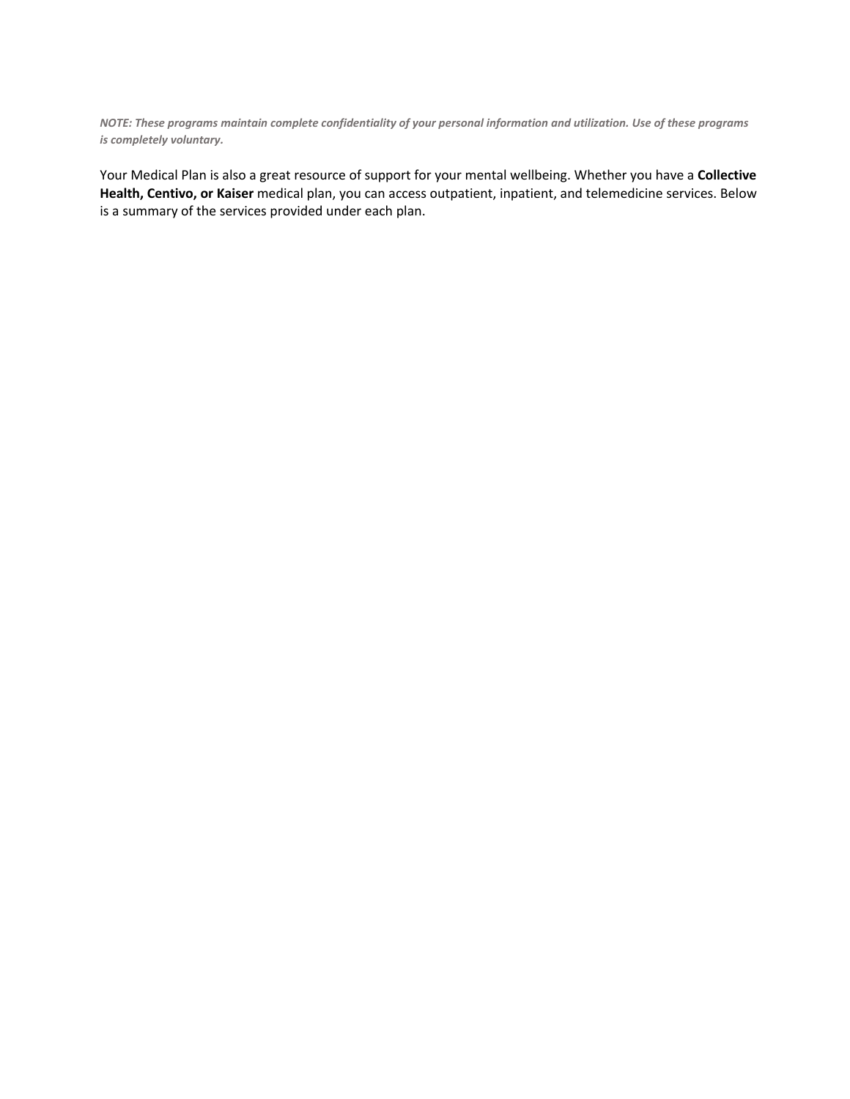*NOTE: These programs maintain complete confidentiality of your personal information and utilization. Use of these programs is completely voluntary.*

Your Medical Plan is also a great resource of support for your mental wellbeing. Whether you have a **Collective Health, Centivo, or Kaiser** medical plan, you can access outpatient, inpatient, and telemedicine services. Below is a summary of the services provided under each plan.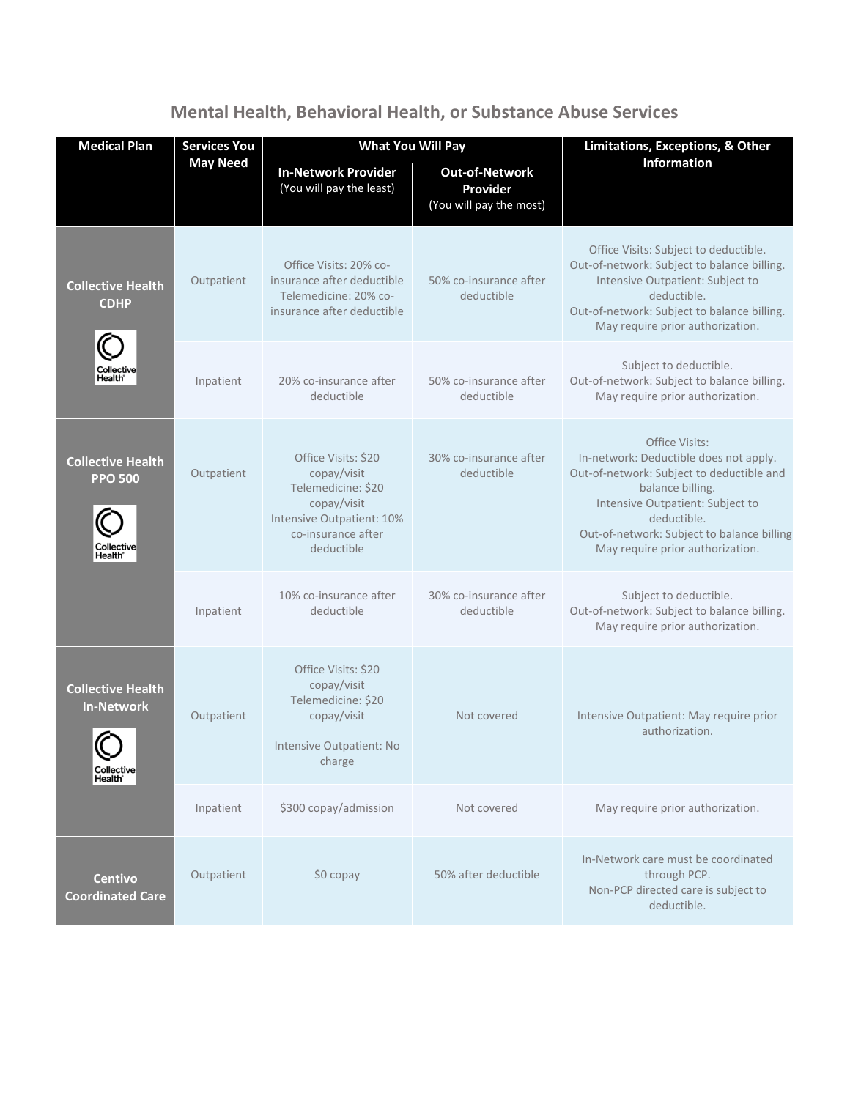| <b>Medical Plan</b>                                                                                | <b>Services You</b><br><b>May Need</b> | <b>What You Will Pay</b>                                                                                                                 |                                                              | Limitations, Exceptions, & Other                                                                                                                                                                                                                               |
|----------------------------------------------------------------------------------------------------|----------------------------------------|------------------------------------------------------------------------------------------------------------------------------------------|--------------------------------------------------------------|----------------------------------------------------------------------------------------------------------------------------------------------------------------------------------------------------------------------------------------------------------------|
|                                                                                                    |                                        | <b>In-Network Provider</b><br>(You will pay the least)                                                                                   | <b>Out-of-Network</b><br>Provider<br>(You will pay the most) | Information                                                                                                                                                                                                                                                    |
| <b>Collective Health</b><br><b>CDHP</b><br>Collective<br><b>Health</b>                             | Outpatient                             | Office Visits: 20% co-<br>insurance after deductible<br>Telemedicine: 20% co-<br>insurance after deductible                              | 50% co-insurance after<br>deductible                         | Office Visits: Subject to deductible.<br>Out-of-network: Subject to balance billing.<br>Intensive Outpatient: Subject to<br>deductible.<br>Out-of-network: Subject to balance billing.<br>May require prior authorization.                                     |
|                                                                                                    | Inpatient                              | 20% co-insurance after<br>deductible                                                                                                     | 50% co-insurance after<br>deductible                         | Subject to deductible.<br>Out-of-network: Subject to balance billing.<br>May require prior authorization.                                                                                                                                                      |
| <b>Collective Health</b><br><b>PPO 500</b><br>Collective<br>Health <sup>®</sup>                    | Outpatient                             | Office Visits: \$20<br>copay/visit<br>Telemedicine: \$20<br>copay/visit<br>Intensive Outpatient: 10%<br>co-insurance after<br>deductible | 30% co-insurance after<br>deductible                         | Office Visits:<br>In-network: Deductible does not apply.<br>Out-of-network: Subject to deductible and<br>balance billing.<br>Intensive Outpatient: Subject to<br>deductible.<br>Out-of-network: Subject to balance billing<br>May require prior authorization. |
|                                                                                                    | Inpatient                              | 10% co-insurance after<br>deductible                                                                                                     | 30% co-insurance after<br>deductible                         | Subject to deductible.<br>Out-of-network: Subject to balance billing.<br>May require prior authorization.                                                                                                                                                      |
| <b>Collective Health</b><br><b>In-Network</b><br>$\checkmark$<br>Collective<br>Health <sup>®</sup> | Outpatient                             | Office Visits: \$20<br>copay/visit<br>Telemedicine: \$20<br>copay/visit<br>Intensive Outpatient: No<br>charge                            | Not covered                                                  | Intensive Outpatient: May require prior<br>authorization.                                                                                                                                                                                                      |
|                                                                                                    | Inpatient                              | \$300 copay/admission                                                                                                                    | Not covered                                                  | May require prior authorization.                                                                                                                                                                                                                               |
| <b>Centivo</b><br><b>Coordinated Care</b>                                                          | Outpatient                             | $$0$ copay                                                                                                                               | 50% after deductible                                         | In-Network care must be coordinated<br>through PCP.<br>Non-PCP directed care is subject to<br>deductible.                                                                                                                                                      |

**Mental Health, Behavioral Health, or Substance Abuse Services**